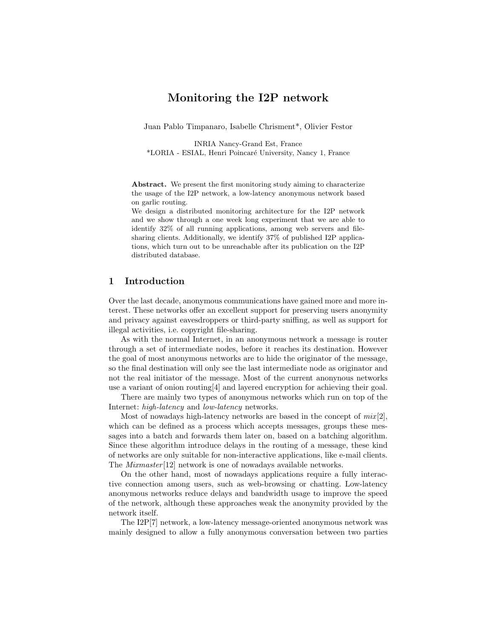# Monitoring the I2P network

Juan Pablo Timpanaro, Isabelle Chrisment\*, Olivier Festor

INRIA Nancy-Grand Est, France \*LORIA - ESIAL, Henri Poincar´e University, Nancy 1, France

Abstract. We present the first monitoring study aiming to characterize the usage of the I2P network, a low-latency anonymous network based on garlic routing.

We design a distributed monitoring architecture for the I2P network and we show through a one week long experiment that we are able to identify 32% of all running applications, among web servers and filesharing clients. Additionally, we identify 37% of published I2P applications, which turn out to be unreachable after its publication on the I2P distributed database.

## 1 Introduction

Over the last decade, anonymous communications have gained more and more interest. These networks offer an excellent support for preserving users anonymity and privacy against eavesdroppers or third-party sniffing, as well as support for illegal activities, i.e. copyright file-sharing.

As with the normal Internet, in an anonymous network a message is router through a set of intermediate nodes, before it reaches its destination. However the goal of most anonymous networks are to hide the originator of the message, so the final destination will only see the last intermediate node as originator and not the real initiator of the message. Most of the current anonynous networks use a variant of onion routing[4] and layered encryption for achieving their goal.

There are mainly two types of anonymous networks which run on top of the Internet: high-latency and low-latency networks.

Most of nowadays high-latency networks are based in the concept of  $mix[2]$ , which can be defined as a process which accepts messages, groups these messages into a batch and forwards them later on, based on a batching algorithm. Since these algorithm introduce delays in the routing of a message, these kind of networks are only suitable for non-interactive applications, like e-mail clients. The Mixmaster [12] network is one of nowadays available networks.

On the other hand, most of nowadays applications require a fully interactive connection among users, such as web-browsing or chatting. Low-latency anonymous networks reduce delays and bandwidth usage to improve the speed of the network, although these approaches weak the anonymity provided by the network itself.

The I2P[7] network, a low-latency message-oriented anonymous network was mainly designed to allow a fully anonymous conversation between two parties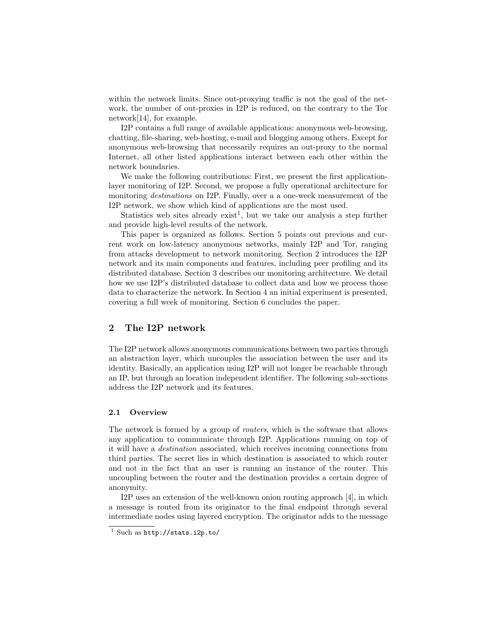within the network limits. Since out-proxying traffic is not the goal of the network, the number of out-proxies in I2P is reduced, on the contrary to the Tor network[14], for example.

I2P contains a full range of available applications: anonymous web-browsing, chatting, file-sharing, web-hosting, e-mail and blogging among others. Except for anonymous web-browsing that necessarily requires an out-proxy to the normal Internet, all other listed applications interact between each other within the network boundaries.

We make the following contributions: First, we present the first applicationlayer monitoring of I2P. Second, we propose a fully operational architecture for monitoring destinations on I2P. Finally, over a a one-week measurement of the I2P network, we show which kind of applications are the most used.

Statistics web sites already exist<sup>1</sup>, but we take our analysis a step further and provide high-level results of the network.

This paper is organized as follows. Section 5 points out previous and current work on low-latency anonymous networks, mainly I2P and Tor, ranging from attacks development to network monitoring. Section 2 introduces the I2P network and its main components and features, including peer profiling and its distributed database. Section 3 describes our monitoring architecture. We detail how we use I2P's distributed database to collect data and how we process those data to characterize the network. In Section 4 an initial experiment is presented, covering a full week of monitoring. Section 6 concludes the paper.

## 2 The I2P network

The I2P network allows anonymous communications between two parties through an abstraction layer, which uncouples the association between the user and its identity. Basically, an application using I2P will not longer be reachable through an IP, but through an location independent identifier. The following sub-sections address the I2P network and its features.

#### 2.1 Overview

The network is formed by a group of routers, which is the software that allows any application to communicate through I2P. Applications running on top of it will have a destination associated, which receives incoming connections from third parties. The secret lies in which destination is associated to which router and not in the fact that an user is running an instance of the router. This uncoupling between the router and the destination provides a certain degree of anonymity.

I2P uses an extension of the well-known onion routing approach [4], in which a message is routed from its originator to the final endpoint through several intermediate nodes using layered encryption. The originator adds to the message

 $1$  Such as http://stats.i2p.to/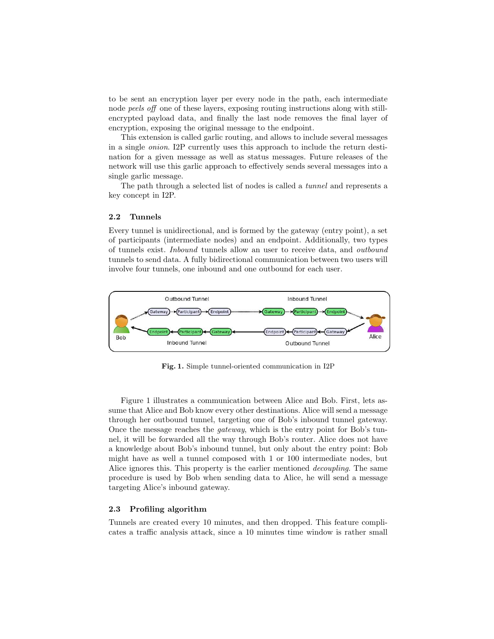to be sent an encryption layer per every node in the path, each intermediate node peels off one of these layers, exposing routing instructions along with stillencrypted payload data, and finally the last node removes the final layer of encryption, exposing the original message to the endpoint.

This extension is called garlic routing, and allows to include several messages in a single onion. I2P currently uses this approach to include the return destination for a given message as well as status messages. Future releases of the network will use this garlic approach to effectively sends several messages into a single garlic message.

The path through a selected list of nodes is called a tunnel and represents a key concept in I2P.

#### 2.2 Tunnels

Every tunnel is unidirectional, and is formed by the gateway (entry point), a set of participants (intermediate nodes) and an endpoint. Additionally, two types of tunnels exist. Inbound tunnels allow an user to receive data, and outbound tunnels to send data. A fully bidirectional communication between two users will involve four tunnels, one inbound and one outbound for each user.



Fig. 1. Simple tunnel-oriented communication in I2P

Figure 1 illustrates a communication between Alice and Bob. First, lets assume that Alice and Bob know every other destinations. Alice will send a message through her outbound tunnel, targeting one of Bob's inbound tunnel gateway. Once the message reaches the gateway, which is the entry point for Bob's tunnel, it will be forwarded all the way through Bob's router. Alice does not have a knowledge about Bob's inbound tunnel, but only about the entry point: Bob might have as well a tunnel composed with 1 or 100 intermediate nodes, but Alice ignores this. This property is the earlier mentioned decoupling. The same procedure is used by Bob when sending data to Alice, he will send a message targeting Alice's inbound gateway.

#### 2.3 Profiling algorithm

Tunnels are created every 10 minutes, and then dropped. This feature complicates a traffic analysis attack, since a 10 minutes time window is rather small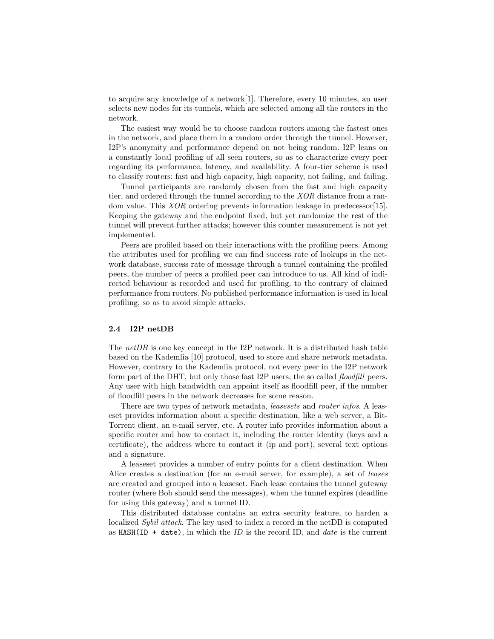to acquire any knowledge of a network[1]. Therefore, every 10 minutes, an user selects new nodes for its tunnels, which are selected among all the routers in the network.

The easiest way would be to choose random routers among the fastest ones in the network, and place them in a random order through the tunnel. However, I2P's anonymity and performance depend on not being random. I2P leans on a constantly local profiling of all seen routers, so as to characterize every peer regarding its performance, latency, and availability. A four-tier scheme is used to classify routers: fast and high capacity, high capacity, not failing, and failing.

Tunnel participants are randomly chosen from the fast and high capacity tier, and ordered through the tunnel according to the XOR distance from a random value. This *XOR* ordering prevents information leakage in predecessor[15]. Keeping the gateway and the endpoint fixed, but yet randomize the rest of the tunnel will prevent further attacks; however this counter measurement is not yet implemented.

Peers are profiled based on their interactions with the profiling peers. Among the attributes used for profiling we can find success rate of lookups in the network database, success rate of message through a tunnel containing the profiled peers, the number of peers a profiled peer can introduce to us. All kind of indirected behaviour is recorded and used for profiling, to the contrary of claimed performance from routers. No published performance information is used in local profiling, so as to avoid simple attacks.

#### 2.4 I2P netDB

The  $netDB$  is one key concept in the I2P network. It is a distributed hash table based on the Kademlia [10] protocol, used to store and share network metadata. However, contrary to the Kademlia protocol, not every peer in the I2P network form part of the DHT, but only those fast I2P users, the so called *floodfill* peers. Any user with high bandwidth can appoint itself as floodfill peer, if the number of floodfill peers in the network decreases for some reason.

There are two types of network metadata, *leasesets* and *router infos*. A leaseset provides information about a specific destination, like a web server, a Bit-Torrent client, an e-mail server, etc. A router info provides information about a specific router and how to contact it, including the router identity (keys and a certificate), the address where to contact it (ip and port), several text options and a signature.

A leaseset provides a number of entry points for a client destination. When Alice creates a destination (for an e-mail server, for example), a set of *leases* are created and grouped into a leaseset. Each lease contains the tunnel gateway router (where Bob should send the messages), when the tunnel expires (deadline for using this gateway) and a tunnel ID.

This distributed database contains an extra security feature, to harden a localized Sybil attack. The key used to index a record in the netDB is computed as HASH(ID + date), in which the ID is the record ID, and *date* is the current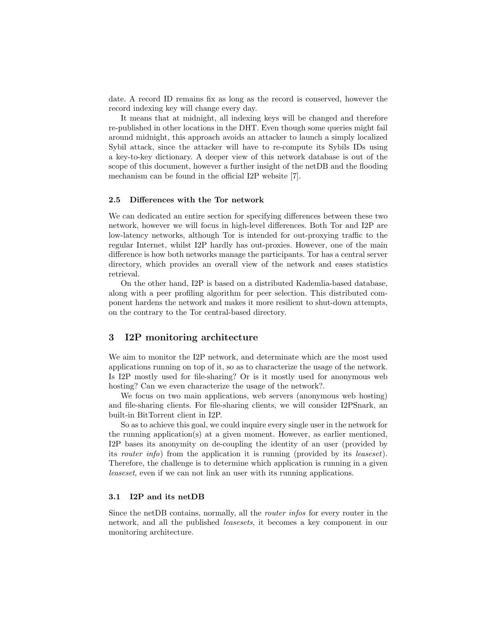date. A record ID remains fix as long as the record is conserved, however the record indexing key will change every day.

It means that at midnight, all indexing keys will be changed and therefore re-published in other locations in the DHT. Even though some queries might fail around midnight, this approach avoids an attacker to launch a simply localized Sybil attack, since the attacker will have to re-compute its Sybils IDs using a key-to-key dictionary. A deeper view of this network database is out of the scope of this document, however a further insight of the netDB and the flooding mechanism can be found in the official I2P website [7].

#### 2.5 Differences with the Tor network

We can dedicated an entire section for specifying differences between these two network, however we will focus in high-level differences. Both Tor and I2P are low-latency networks, although Tor is intended for out-proxying traffic to the regular Internet, whilst I2P hardly has out-proxies. However, one of the main difference is how both networks manage the participants. Tor has a central server directory, which provides an overall view of the network and eases statistics retrieval.

On the other hand, I2P is based on a distributed Kademlia-based database, along with a peer profiling algorithm for peer selection. This distributed component hardens the network and makes it more resilient to shut-down attempts, on the contrary to the Tor central-based directory.

## 3 I2P monitoring architecture

We aim to monitor the I2P network, and determinate which are the most used applications running on top of it, so as to characterize the usage of the network. Is I2P mostly used for file-sharing? Or is it mostly used for anonymous web hosting? Can we even characterize the usage of the network?.

We focus on two main applications, web servers (anonymous web hosting) and file-sharing clients. For file-sharing clients, we will consider I2PSnark, an built-in BitTorrent client in I2P.

So as to achieve this goal, we could inquire every single user in the network for the running application(s) at a given moment. However, as earlier mentioned, I2P bases its anonymity on de-coupling the identity of an user (provided by its router info) from the application it is running (provided by its leaseset). Therefore, the challenge is to determine which application is running in a given leaseset, even if we can not link an user with its running applications.

## 3.1 I2P and its netDB

Since the netDB contains, normally, all the router infos for every router in the network, and all the published leasesets, it becomes a key component in our monitoring architecture.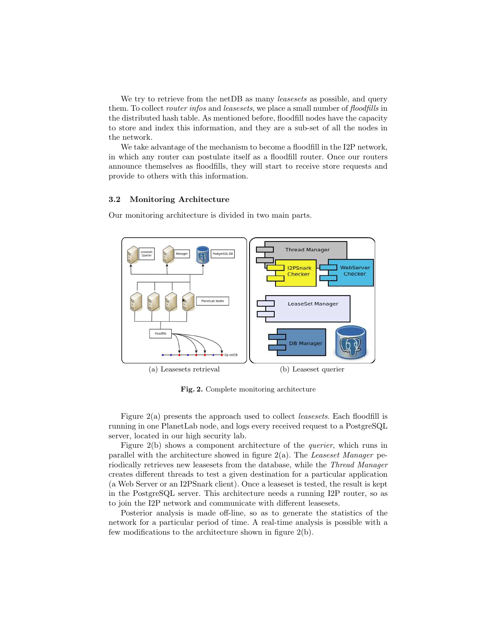We try to retrieve from the net DB as many *leasesets* as possible, and query them. To collect *router infos* and *leasesets*, we place a small number of *floodfills* in the distributed hash table. As mentioned before, floodfill nodes have the capacity to store and index this information, and they are a sub-set of all the nodes in the network.

We take advantage of the mechanism to become a floodfill in the I2P network, in which any router can postulate itself as a floodfill router. Once our routers announce themselves as floodfills, they will start to receive store requests and provide to others with this information.

#### 3.2 Monitoring Architecture

Our monitoring architecture is divided in two main parts.



Fig. 2. Complete monitoring architecture

Figure 2(a) presents the approach used to collect *leasesets*. Each floodfill is running in one PlanetLab node, and logs every received request to a PostgreSQL server, located in our high security lab.

Figure 2(b) shows a component architecture of the querier, which runs in parallel with the architecture showed in figure  $2(a)$ . The Leaseset Manager periodically retrieves new leasesets from the database, while the Thread Manager creates different threads to test a given destination for a particular application (a Web Server or an I2PSnark client). Once a leaseset is tested, the result is kept in the PostgreSQL server. This architecture needs a running I2P router, so as to join the I2P network and communicate with different leasesets.

Posterior analysis is made off-line, so as to generate the statistics of the network for a particular period of time. A real-time analysis is possible with a few modifications to the architecture shown in figure 2(b).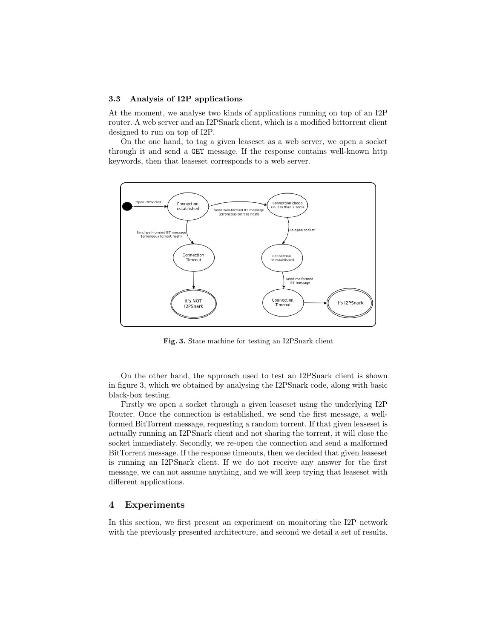#### 3.3 Analysis of I2P applications

At the moment, we analyse two kinds of applications running on top of an I2P router. A web server and an I2PSnark client, which is a modified bittorrent client designed to run on top of I2P.

On the one hand, to tag a given leaseset as a web server, we open a socket through it and send a GET message. If the response contains well-known http keywords, then that leaseset corresponds to a web server.



Fig. 3. State machine for testing an I2PSnark client

On the other hand, the approach used to test an I2PSnark client is shown in figure 3, which we obtained by analysing the I2PSnark code, along with basic black-box testing.

Firstly we open a socket through a given leaseset using the underlying I2P Router. Once the connection is established, we send the first message, a wellformed BitTorrent message, requesting a random torrent. If that given leaseset is actually running an I2PSnark client and not sharing the torrent, it will close the socket immediately. Secondly, we re-open the connection and send a malformed BitTorrent message. If the response timeouts, then we decided that given leaseset is running an I2PSnark client. If we do not receive any answer for the first message, we can not assume anything, and we will keep trying that leaseset with different applications.

## 4 Experiments

In this section, we first present an experiment on monitoring the I2P network with the previously presented architecture, and second we detail a set of results.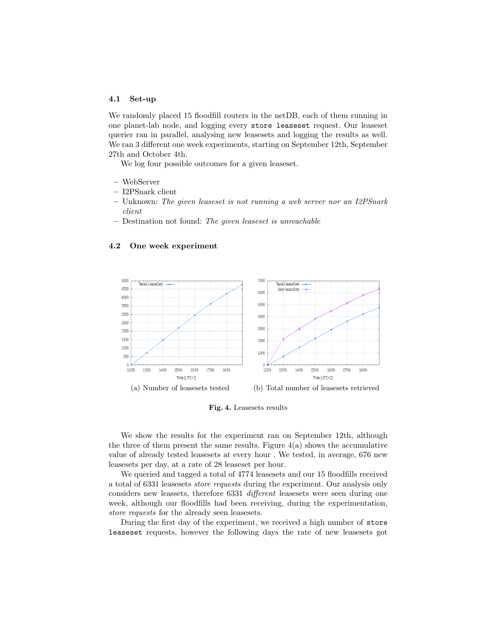#### 4.1 Set-up

We randomly placed 15 floodfill routers in the netDB, each of them running in one planet-lab node, and logging every store leaseset request. Our leaseset querier ran in parallel, analysing new leasesets and logging the results as well. We ran 3 different one week experiments, starting on September 12th, September 27th and October 4th.

We log four possible outcomes for a given leaseset.

- WebServer
- I2PSnark client
- $-$  Unknown: The given leaseset is not running a web server nor an I2PSnark client
- Destination not found: The given leaseset is unreachable

#### 4.2 One week experiment



Fig. 4. Leasesets results

We show the results for the experiment ran on September 12th, although the three of them present the same results. Figure  $4(a)$  shows the accumulative value of already tested leasesets at every hour . We tested, in average, 676 new leasesets per day, at a rate of 28 leaseset per hour.

We queried and tagged a total of 4774 leasesets and our 15 floodfills received a total of 6331 leasesets store requests during the experiment. Our analysis only considers new leassets, therefore 6331 different leasesets were seen during one week, although our floodfills had been receiving, during the experimentation, store requests for the already seen leasesets.

During the first day of the experiment, we received a high number of store leaseset requests, however the following days the rate of new leasesets got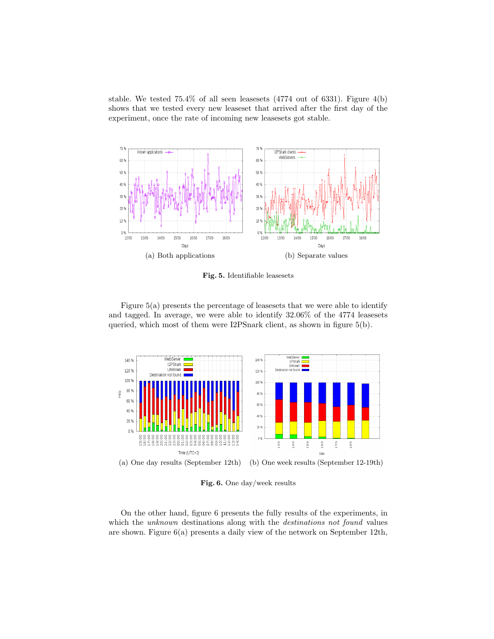stable. We tested 75.4% of all seen leasesets (4774 out of 6331). Figure 4(b) shows that we tested every new leaseset that arrived after the first day of the experiment, once the rate of incoming new leasesets got stable.



Fig. 5. Identifiable leasesets

Figure 5(a) presents the percentage of leasesets that we were able to identify and tagged. In average, we were able to identify 32.06% of the 4774 leasesets queried, which most of them were I2PSnark client, as shown in figure 5(b).



Fig. 6. One day/week results

On the other hand, figure 6 presents the fully results of the experiments, in which the *unknown* destinations along with the *destinations not found* values are shown. Figure 6(a) presents a daily view of the network on September 12th,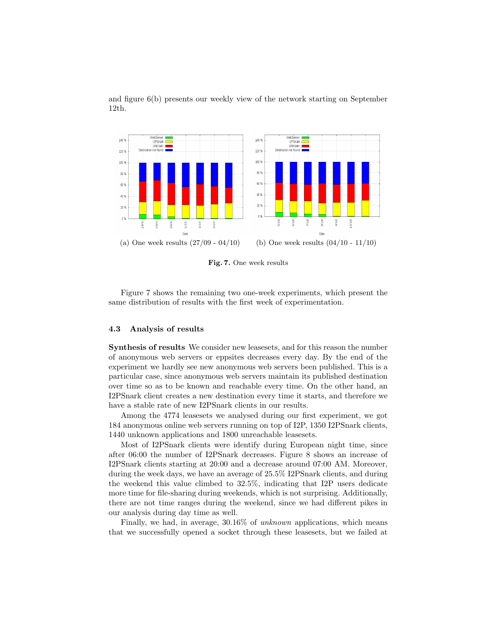and figure 6(b) presents our weekly view of the network starting on September 12th.



Fig. 7. One week results

Figure 7 shows the remaining two one-week experiments, which present the same distribution of results with the first week of experimentation.

#### 4.3 Analysis of results

Synthesis of results We consider new leasesets, and for this reason the number of anonymous web servers or eppsites decreases every day. By the end of the experiment we hardly see new anonymous web servers been published. This is a particular case, since anonymous web servers maintain its published destination over time so as to be known and reachable every time. On the other hand, an I2PSnark client creates a new destination every time it starts, and therefore we have a stable rate of new I2PSnark clients in our results.

Among the 4774 leasesets we analysed during our first experiment, we got 184 anonymous online web servers running on top of I2P, 1350 I2PSnark clients, 1440 unknown applications and 1800 unreachable leasesets.

Most of I2PSnark clients were identify during European night time, since after 06:00 the number of I2PSnark decreases. Figure 8 shows an increase of I2PSnark clients starting at 20:00 and a decrease around 07:00 AM. Moreover, during the week days, we have an average of 25.5% I2PSnark clients, and during the weekend this value climbed to 32.5%, indicating that I2P users dedicate more time for file-sharing during weekends, which is not surprising. Additionally, there are not time ranges during the weekend, since we had different pikes in our analysis during day time as well.

Finally, we had, in average, 30.16% of unknown applications, which means that we successfully opened a socket through these leasesets, but we failed at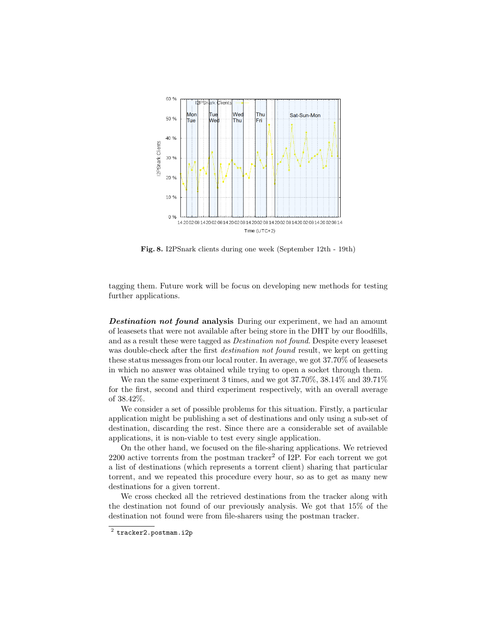

Fig. 8. I2PSnark clients during one week (September 12th - 19th)

tagging them. Future work will be focus on developing new methods for testing further applications.

Destination not found analysis During our experiment, we had an amount of leasesets that were not available after being store in the DHT by our floodfills, and as a result these were tagged as Destination not found. Despite every leaseset was double-check after the first *destination not found* result, we kept on getting these status messages from our local router. In average, we got 37.70% of leasesets in which no answer was obtained while trying to open a socket through them.

We ran the same experiment 3 times, and we got 37.70%, 38.14% and 39.71% for the first, second and third experiment respectively, with an overall average of 38.42%.

We consider a set of possible problems for this situation. Firstly, a particular application might be publishing a set of destinations and only using a sub-set of destination, discarding the rest. Since there are a considerable set of available applications, it is non-viable to test every single application.

On the other hand, we focused on the file-sharing applications. We retrieved  $2200$  active torrents from the postman tracker<sup>2</sup> of I2P. For each torrent we got a list of destinations (which represents a torrent client) sharing that particular torrent, and we repeated this procedure every hour, so as to get as many new destinations for a given torrent.

We cross checked all the retrieved destinations from the tracker along with the destination not found of our previously analysis. We got that 15% of the destination not found were from file-sharers using the postman tracker.

 $^2$  tracker2.postmam.i2p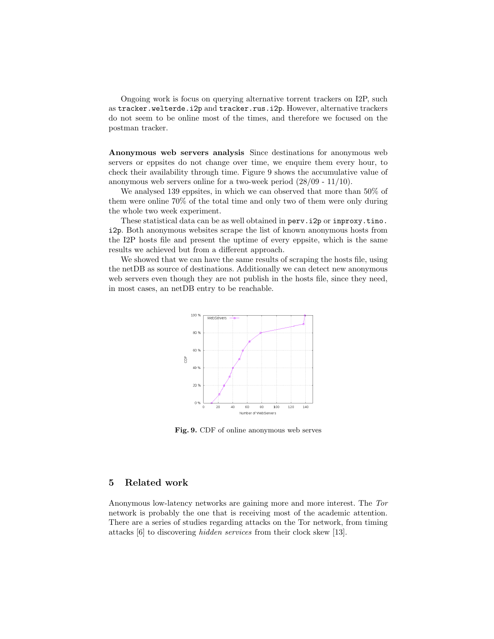Ongoing work is focus on querying alternative torrent trackers on I2P, such as tracker.welterde.i2p and tracker.rus.i2p. However, alternative trackers do not seem to be online most of the times, and therefore we focused on the postman tracker.

Anonymous web servers analysis Since destinations for anonymous web servers or eppsites do not change over time, we enquire them every hour, to check their availability through time. Figure 9 shows the accumulative value of anonymous web servers online for a two-week period (28/09 - 11/10).

We analysed 139 eppsites, in which we can observed that more than 50% of them were online 70% of the total time and only two of them were only during the whole two week experiment.

These statistical data can be as well obtained in perv.i2p or inproxy.tino. i2p. Both anonymous websites scrape the list of known anonymous hosts from the I2P hosts file and present the uptime of every eppsite, which is the same results we achieved but from a different approach.

We showed that we can have the same results of scraping the hosts file, using the netDB as source of destinations. Additionally we can detect new anonymous web servers even though they are not publish in the hosts file, since they need, in most cases, an netDB entry to be reachable.



Fig. 9. CDF of online anonymous web serves

### 5 Related work

Anonymous low-latency networks are gaining more and more interest. The Tor network is probably the one that is receiving most of the academic attention. There are a series of studies regarding attacks on the Tor network, from timing attacks [6] to discovering hidden services from their clock skew [13].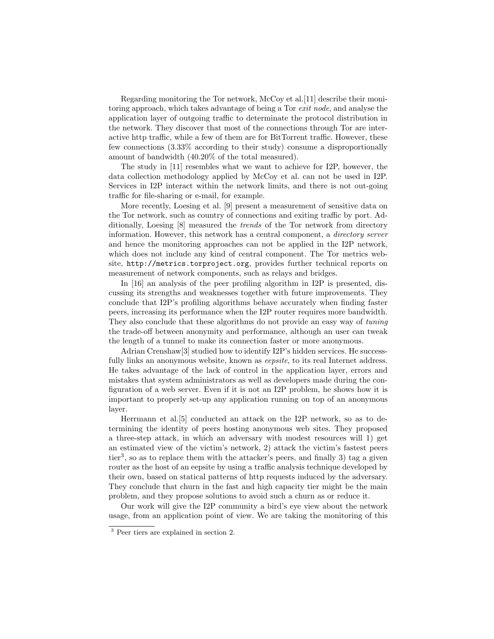Regarding monitoring the Tor network, McCoy et al.[11] describe their monitoring approach, which takes advantage of being a Tor exit node, and analyse the application layer of outgoing traffic to determinate the protocol distribution in the network. They discover that most of the connections through Tor are interactive http traffic, while a few of them are for BitTorrent traffic. However, these few connections (3.33% according to their study) consume a disproportionally amount of bandwidth (40.20% of the total measured).

The study in [11] resembles what we want to achieve for I2P, however, the data collection methodology applied by McCoy et al. can not be used in I2P. Services in I2P interact within the network limits, and there is not out-going traffic for file-sharing or e-mail, for example.

More recently, Loesing et al. [9] present a measurement of sensitive data on the Tor network, such as country of connections and exiting traffic by port. Additionally, Loesing [8] measured the trends of the Tor network from directory information. However, this network has a central component, a directory server and hence the monitoring approaches can not be applied in the I2P network, which does not include any kind of central component. The Tor metrics website, http://metrics.torproject.org, provides further technical reports on measurement of network components, such as relays and bridges.

In [16] an analysis of the peer profiling algorithm in I2P is presented, discussing its strengths and weaknesses together with future improvements. They conclude that I2P's profiling algorithms behave accurately when finding faster peers, increasing its performance when the I2P router requires more bandwidth. They also conclude that these algorithms do not provide an easy way of tuning the trade-off between anonymity and performance, although an user can tweak the length of a tunnel to make its connection faster or more anonymous.

Adrian Crenshaw[3] studied how to identify I2P's hidden services. He successfully links an anonymous website, known as *eepsite*, to its real Internet address. He takes advantage of the lack of control in the application layer, errors and mistakes that system administrators as well as developers made during the configuration of a web server. Even if it is not an I2P problem, he shows how it is important to properly set-up any application running on top of an anonymous layer.

Herrmann et al.[5] conducted an attack on the I2P network, so as to determining the identity of peers hosting anonymous web sites. They proposed a three-step attack, in which an adversary with modest resources will 1) get an estimated view of the victim's network, 2) attack the victim's fastest peers tier<sup>3</sup>, so as to replace them with the attacker's peers, and finally 3) tag a given router as the host of an eepsite by using a traffic analysis technique developed by their own, based on statical patterns of http requests induced by the adversary. They conclude that churn in the fast and high capacity tier might be the main problem, and they propose solutions to avoid such a churn as or reduce it.

Our work will give the I2P community a bird's eye view about the network usage, from an application point of view. We are taking the monitoring of this

<sup>3</sup> Peer tiers are explained in section 2.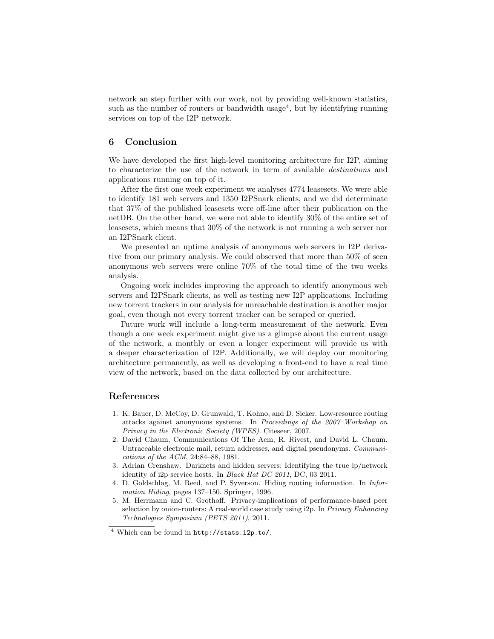network an step further with our work, not by providing well-known statistics, such as the number of routers or bandwidth usage<sup>4</sup>, but by identifying running services on top of the I2P network.

## 6 Conclusion

We have developed the first high-level monitoring architecture for I2P, aiming to characterize the use of the network in term of available destinations and applications running on top of it.

After the first one week experiment we analyses 4774 leasesets. We were able to identify 181 web servers and 1350 I2PSnark clients, and we did determinate that 37% of the published leasesets were off-line after their publication on the netDB. On the other hand, we were not able to identify 30% of the entire set of leasesets, which means that 30% of the network is not running a web server nor an I2PSnark client.

We presented an uptime analysis of anonymous web servers in I2P derivative from our primary analysis. We could observed that more than 50% of seen anonymous web servers were online 70% of the total time of the two weeks analysis.

Ongoing work includes improving the approach to identify anonymous web servers and I2PSnark clients, as well as testing new I2P applications. Including new torrent trackers in our analysis for unreachable destination is another major goal, even though not every torrent tracker can be scraped or queried.

Future work will include a long-term measurement of the network. Even though a one week experiment might give us a glimpse about the current usage of the network, a monthly or even a longer experiment will provide us with a deeper characterization of I2P. Additionally, we will deploy our monitoring architecture permanently, as well as developing a front-end to have a real time view of the network, based on the data collected by our architecture.

## References

- 1. K. Bauer, D. McCoy, D. Grunwald, T. Kohno, and D. Sicker. Low-resource routing attacks against anonymous systems. In Proceedings of the 2007 Workshop on Privacy in the Electronic Society (WPES). Citeseer, 2007.
- 2. David Chaum, Communications Of The Acm, R. Rivest, and David L. Chaum. Untraceable electronic mail, return addresses, and digital pseudonyms. Communications of the ACM, 24:84–88, 1981.
- 3. Adrian Crenshaw. Darknets and hidden servers: Identifying the true ip/network identity of i2p service hosts. In Black Hat DC 2011, DC, 03 2011.
- 4. D. Goldschlag, M. Reed, and P. Syverson. Hiding routing information. In Information Hiding, pages 137–150. Springer, 1996.
- 5. M. Herrmann and C. Grothoff. Privacy-implications of performance-based peer selection by onion-routers: A real-world case study using i2p. In Privacy Enhancing Technologies Symposium (PETS 2011), 2011.

<sup>4</sup> Which can be found in http://stats.i2p.to/.